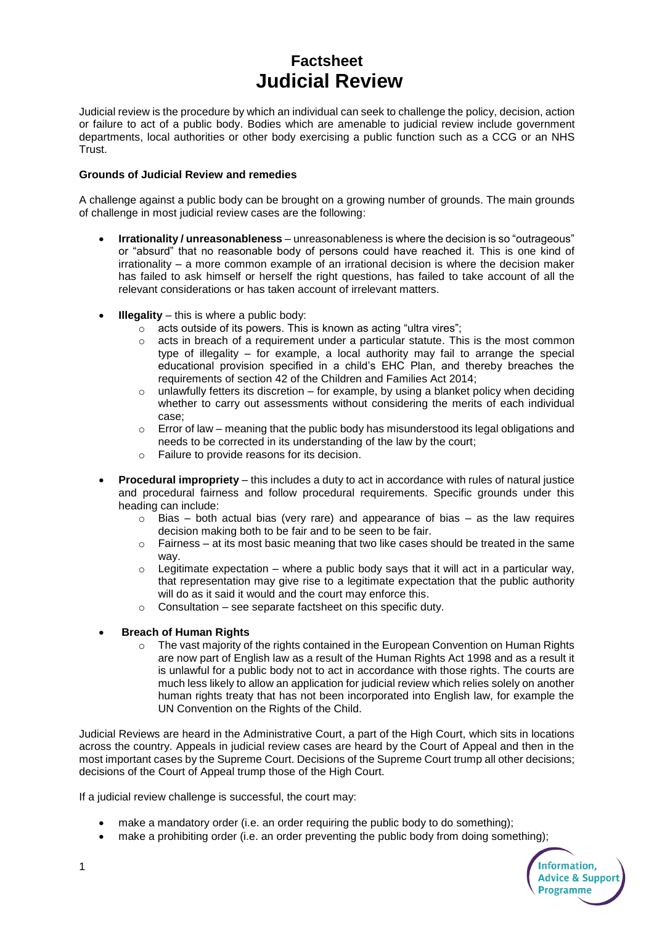# **Factsheet Judicial Review**

Judicial review is the procedure by which an individual can seek to challenge the policy, decision, action or failure to act of a public body. Bodies which are amenable to judicial review include government departments, local authorities or other body exercising a public function such as a CCG or an NHS Trust.

#### **Grounds of Judicial Review and remedies**

A challenge against a public body can be brought on a growing number of grounds. The main grounds of challenge in most judicial review cases are the following:

- **Irrationality / unreasonableness** unreasonableness is where the decision is so "outrageous" or "absurd" that no reasonable body of persons could have reached it. This is one kind of irrationality – a more common example of an irrational decision is where the decision maker has failed to ask himself or herself the right questions, has failed to take account of all the relevant considerations or has taken account of irrelevant matters.
- **Illegality** this is where a public body:
	- o acts outside of its powers. This is known as acting "ultra vires";
	- $\circ$  acts in breach of a requirement under a particular statute. This is the most common type of illegality – for example, a local authority may fail to arrange the special educational provision specified in a child's EHC Plan, and thereby breaches the requirements of section 42 of the Children and Families Act 2014;
	- $\circ$  unlawfully fetters its discretion for example, by using a blanket policy when deciding whether to carry out assessments without considering the merits of each individual case;
	- $\circ$  Error of law meaning that the public body has misunderstood its legal obligations and needs to be corrected in its understanding of the law by the court;
	- o Failure to provide reasons for its decision.
- **Procedural impropriety**  this includes a duty to act in accordance with rules of natural justice and procedural fairness and follow procedural requirements. Specific grounds under this heading can include:
	- $\circ$  Bias both actual bias (very rare) and appearance of bias as the law requires decision making both to be fair and to be seen to be fair.
	- $\circ$  Fairness at its most basic meaning that two like cases should be treated in the same way.
	- $\circ$  Legitimate expectation where a public body says that it will act in a particular way, that representation may give rise to a legitimate expectation that the public authority will do as it said it would and the court may enforce this.
	- o Consultation see separate factsheet on this specific duty.

### **Breach of Human Rights**

 $\circ$  The vast majority of the rights contained in the European Convention on Human Rights are now part of English law as a result of the Human Rights Act 1998 and as a result it is unlawful for a public body not to act in accordance with those rights. The courts are much less likely to allow an application for judicial review which relies solely on another human rights treaty that has not been incorporated into English law, for example the UN Convention on the Rights of the Child.

Judicial Reviews are heard in the Administrative Court, a part of the High Court, which sits in locations across the country. Appeals in judicial review cases are heard by the Court of Appeal and then in the most important cases by the Supreme Court. Decisions of the Supreme Court trump all other decisions; decisions of the Court of Appeal trump those of the High Court.

If a judicial review challenge is successful, the court may:

- make a mandatory order (i.e. an order requiring the public body to do something);
- make a prohibiting order (i.e. an order preventing the public body from doing something):